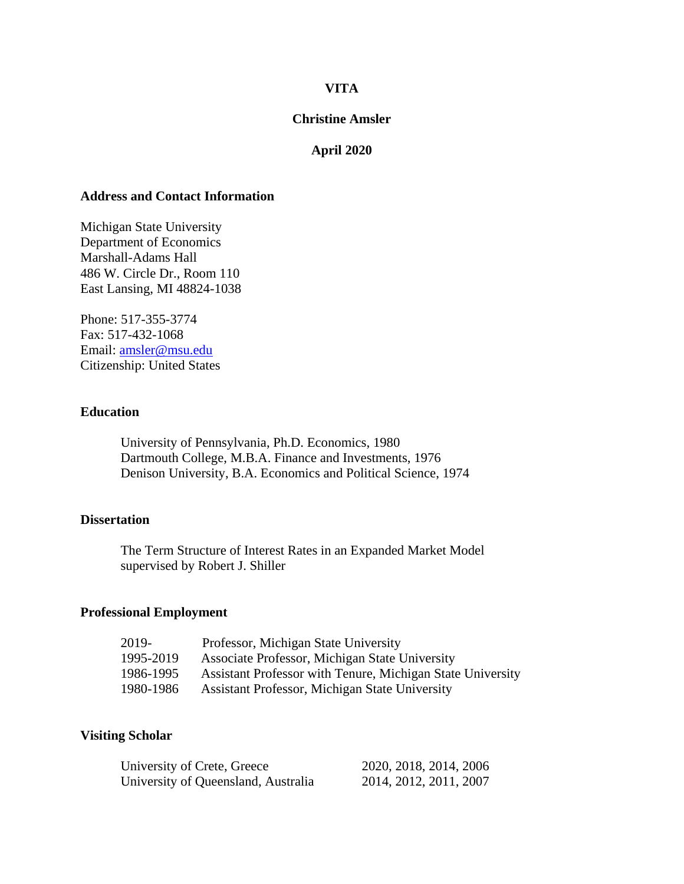## **VITA**

### **Christine Amsler**

## **April 2020**

## **Address and Contact Information**

Michigan State University Department of Economics Marshall-Adams Hall 486 W. Circle Dr., Room 110 East Lansing, MI 48824-1038

Phone: 517-355-3774 Fax: 517-432-1068 Email: [amsler@msu.edu](mailto:amsler@msu.edu) Citizenship: United States

## **Education**

University of Pennsylvania, Ph.D. Economics, 1980 Dartmouth College, M.B.A. Finance and Investments, 1976 Denison University, B.A. Economics and Political Science, 1974

## **Dissertation**

The Term Structure of Interest Rates in an Expanded Market Model supervised by Robert J. Shiller

#### **Professional Employment**

| 2019-     | Professor, Michigan State University                       |
|-----------|------------------------------------------------------------|
| 1995-2019 | Associate Professor, Michigan State University             |
| 1986-1995 | Assistant Professor with Tenure, Michigan State University |
| 1980-1986 | <b>Assistant Professor, Michigan State University</b>      |

### **Visiting Scholar**

| University of Crete, Greece         | 2020, 2018, 2014, 2006 |
|-------------------------------------|------------------------|
| University of Queensland, Australia | 2014, 2012, 2011, 2007 |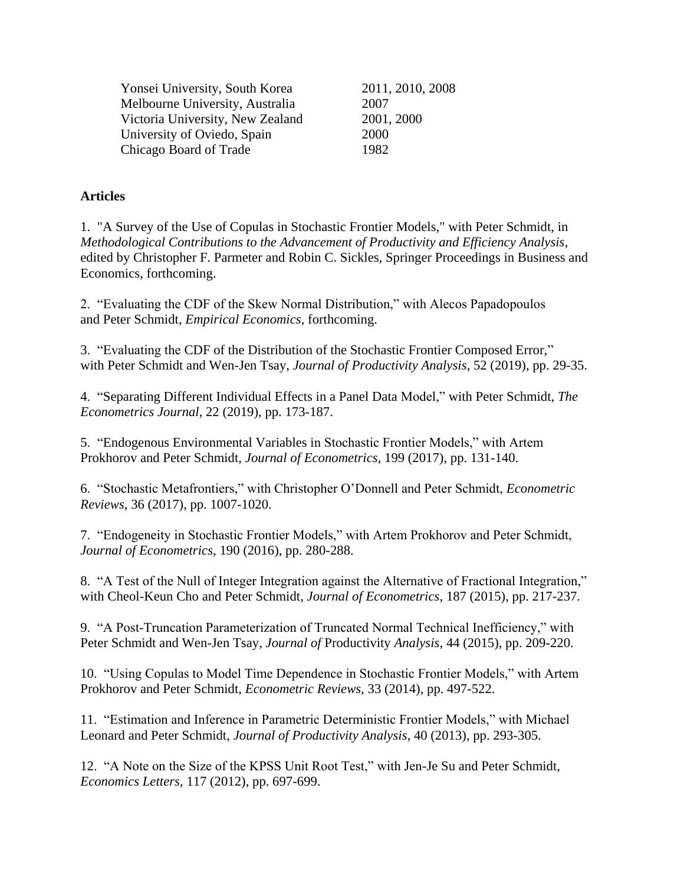| Yonsei University, South Korea   | 2011, 2010, 2008 |
|----------------------------------|------------------|
| Melbourne University, Australia  | 2007             |
| Victoria University, New Zealand | 2001, 2000       |
| University of Oviedo, Spain      | 2000             |
| Chicago Board of Trade           | 1982             |

# **Articles**

1. "A Survey of the Use of Copulas in Stochastic Frontier Models," with Peter Schmidt, in *Methodological Contributions to the Advancement of Productivity and Efficiency Analysis*, edited by Christopher F. Parmeter and Robin C. Sickles, Springer Proceedings in Business and Economics, forthcoming.

2. "Evaluating the CDF of the Skew Normal Distribution," with Alecos Papadopoulos and Peter Schmidt, *Empirical Economics*, forthcoming.

3. "Evaluating the CDF of the Distribution of the Stochastic Frontier Composed Error," with Peter Schmidt and Wen-Jen Tsay, *Journal of Productivity Analysis*, 52 (2019), pp. 29-35.

4. "Separating Different Individual Effects in a Panel Data Model," with Peter Schmidt, *The Econometrics Journal*, 22 (2019), pp. 173-187.

5. "Endogenous Environmental Variables in Stochastic Frontier Models," with Artem Prokhorov and Peter Schmidt, *Journal of Econometrics*, 199 (2017), pp. 131-140.

6. "Stochastic Metafrontiers," with Christopher O'Donnell and Peter Schmidt, *Econometric Reviews*, 36 (2017), pp. 1007-1020.

7. "Endogeneity in Stochastic Frontier Models," with Artem Prokhorov and Peter Schmidt, *Journal of Econometrics*, 190 (2016), pp. 280-288.

8. "A Test of the Null of Integer Integration against the Alternative of Fractional Integration," with Cheol-Keun Cho and Peter Schmidt, *Journal of Econometrics*, 187 (2015), pp. 217-237.

9. "A Post-Truncation Parameterization of Truncated Normal Technical Inefficiency," with Peter Schmidt and Wen-Jen Tsay, *Journal of* Productivity *Analysis*, 44 (2015), pp. 209-220.

10. "Using Copulas to Model Time Dependence in Stochastic Frontier Models," with Artem Prokhorov and Peter Schmidt, *Econometric Reviews,* 33 (2014), pp. 497-522.

11. "Estimation and Inference in Parametric Deterministic Frontier Models," with Michael Leonard and Peter Schmidt, *Journal of Productivity Analysis*, 40 (2013), pp. 293-305.

12. "A Note on the Size of the KPSS Unit Root Test," with Jen-Je Su and Peter Schmidt, *Economics Letters*, 117 (2012), pp. 697-699.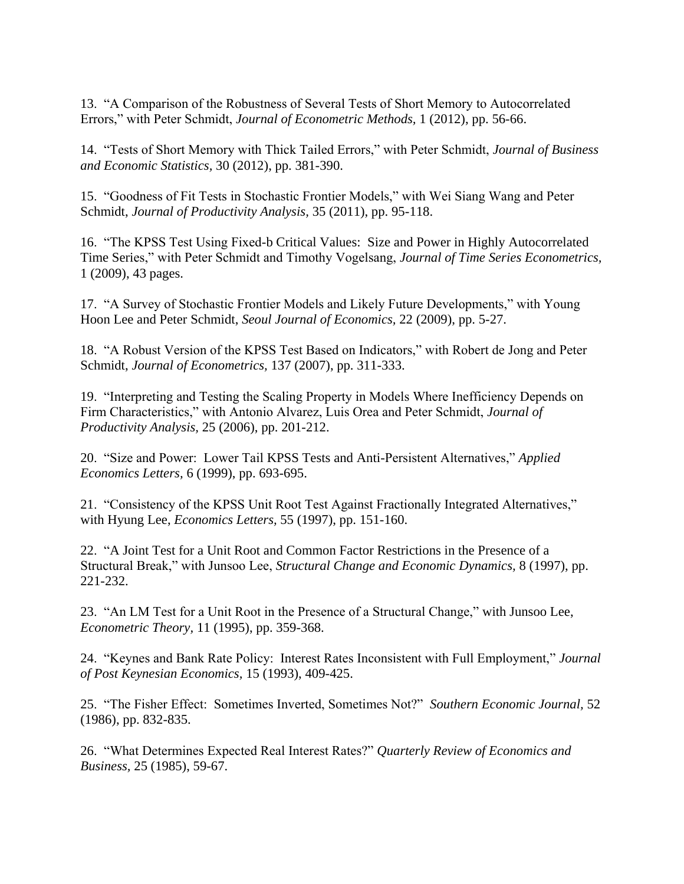13. "A Comparison of the Robustness of Several Tests of Short Memory to Autocorrelated Errors," with Peter Schmidt, *Journal of Econometric Methods,* 1 (2012), pp. 56-66.

14. "Tests of Short Memory with Thick Tailed Errors," with Peter Schmidt, *Journal of Business and Economic Statistics,* 30 (2012), pp. 381-390.

15. "Goodness of Fit Tests in Stochastic Frontier Models," with Wei Siang Wang and Peter Schmidt, *Journal of Productivity Analysis,* 35 (2011), pp. 95-118.

16. "The KPSS Test Using Fixed-b Critical Values: Size and Power in Highly Autocorrelated Time Series," with Peter Schmidt and Timothy Vogelsang, *Journal of Time Series Econometrics,* 1 (2009), 43 pages.

17. "A Survey of Stochastic Frontier Models and Likely Future Developments," with Young Hoon Lee and Peter Schmidt, *Seoul Journal of Economics,* 22 (2009), pp. 5-27.

18. "A Robust Version of the KPSS Test Based on Indicators," with Robert de Jong and Peter Schmidt, *Journal of Econometrics,* 137 (2007), pp. 311-333.

19. "Interpreting and Testing the Scaling Property in Models Where Inefficiency Depends on Firm Characteristics," with Antonio Alvarez, Luis Orea and Peter Schmidt, *Journal of Productivity Analysis,* 25 (2006), pp. 201-212.

20. "Size and Power: Lower Tail KPSS Tests and Anti-Persistent Alternatives," *Applied Economics Letters,* 6 (1999), pp. 693-695.

21. "Consistency of the KPSS Unit Root Test Against Fractionally Integrated Alternatives," with Hyung Lee, *Economics Letters,* 55 (1997), pp. 151-160.

22. "A Joint Test for a Unit Root and Common Factor Restrictions in the Presence of a Structural Break," with Junsoo Lee, *Structural Change and Economic Dynamics,* 8 (1997), pp. 221-232.

23. "An LM Test for a Unit Root in the Presence of a Structural Change," with Junsoo Lee, *Econometric Theory,* 11 (1995), pp. 359-368.

24. "Keynes and Bank Rate Policy: Interest Rates Inconsistent with Full Employment," *Journal of Post Keynesian Economics,* 15 (1993), 409-425.

25. "The Fisher Effect: Sometimes Inverted, Sometimes Not?" *Southern Economic Journal,* 52 (1986), pp. 832-835.

26. "What Determines Expected Real Interest Rates?" *Quarterly Review of Economics and Business,* 25 (1985), 59-67.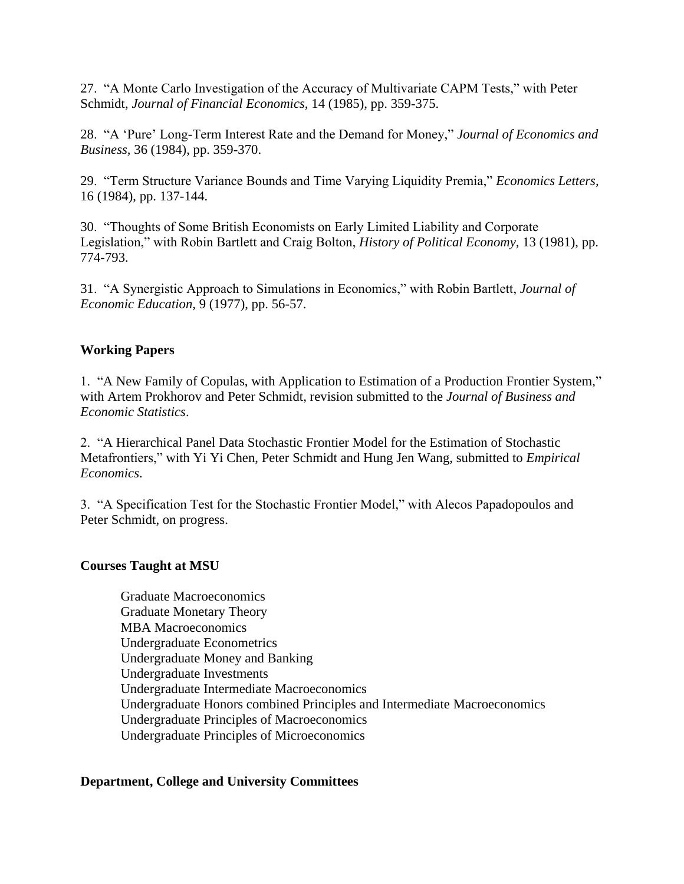27. "A Monte Carlo Investigation of the Accuracy of Multivariate CAPM Tests," with Peter Schmidt, *Journal of Financial Economics,* 14 (1985), pp. 359-375.

28. "A 'Pure' Long-Term Interest Rate and the Demand for Money," *Journal of Economics and Business,* 36 (1984), pp. 359-370.

29. "Term Structure Variance Bounds and Time Varying Liquidity Premia," *Economics Letters,* 16 (1984), pp. 137-144.

30. "Thoughts of Some British Economists on Early Limited Liability and Corporate Legislation," with Robin Bartlett and Craig Bolton, *History of Political Economy,* 13 (1981), pp. 774-793.

31. "A Synergistic Approach to Simulations in Economics," with Robin Bartlett, *Journal of Economic Education,* 9 (1977), pp. 56-57.

# **Working Papers**

1. "A New Family of Copulas, with Application to Estimation of a Production Frontier System," with Artem Prokhorov and Peter Schmidt, revision submitted to the *Journal of Business and Economic Statistics*.

2. "A Hierarchical Panel Data Stochastic Frontier Model for the Estimation of Stochastic Metafrontiers," with Yi Yi Chen, Peter Schmidt and Hung Jen Wang, submitted to *Empirical Economics*.

3. "A Specification Test for the Stochastic Frontier Model," with Alecos Papadopoulos and Peter Schmidt, on progress.

# **Courses Taught at MSU**

Graduate Macroeconomics Graduate Monetary Theory MBA Macroeconomics Undergraduate Econometrics Undergraduate Money and Banking Undergraduate Investments Undergraduate Intermediate Macroeconomics Undergraduate Honors combined Principles and Intermediate Macroeconomics Undergraduate Principles of Macroeconomics Undergraduate Principles of Microeconomics

# **Department, College and University Committees**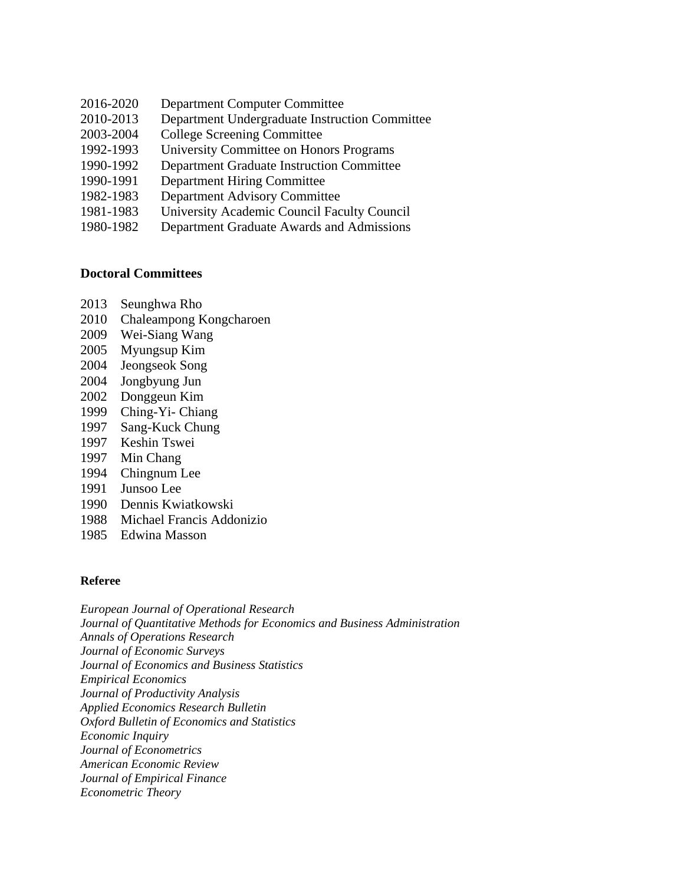- 2016-2020 Department Computer Committee
- 2010-2013 Department Undergraduate Instruction Committee
- 2003-2004 College Screening Committee
- 1992-1993 University Committee on Honors Programs
- 1990-1992 Department Graduate Instruction Committee
- 1990-1991 Department Hiring Committee
- 1982-1983 Department Advisory Committee
- 1981-1983 University Academic Council Faculty Council
- 1980-1982 Department Graduate Awards and Admissions

## **Doctoral Committees**

- 2013 Seunghwa Rho
- 2010 Chaleampong Kongcharoen
- 2009 Wei-Siang Wang
- 2005 Myungsup Kim
- 2004 Jeongseok Song
- 2004 Jongbyung Jun
- 2002 Donggeun Kim
- 1999 Ching-Yi- Chiang
- 1997 Sang-Kuck Chung
- 1997 Keshin Tswei
- 1997 Min Chang
- 1994 Chingnum Lee
- 1991 Junsoo Lee
- 1990 Dennis Kwiatkowski
- 1988 Michael Francis Addonizio
- 1985 Edwina Masson

### **Referee**

*European Journal of Operational Research Journal of Quantitative Methods for Economics and Business Administration Annals of Operations Research Journal of Economic Surveys Journal of Economics and Business Statistics Empirical Economics Journal of Productivity Analysis Applied Economics Research Bulletin Oxford Bulletin of Economics and Statistics Economic Inquiry Journal of Econometrics American Economic Review Journal of Empirical Finance Econometric Theory*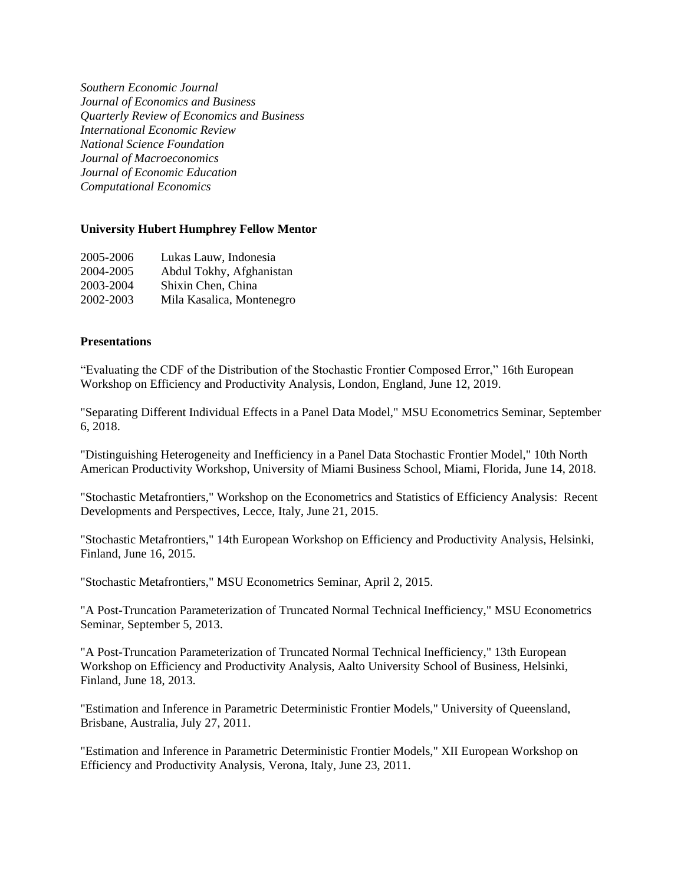*Southern Economic Journal Journal of Economics and Business Quarterly Review of Economics and Business International Economic Review National Science Foundation Journal of Macroeconomics Journal of Economic Education Computational Economics*

#### **University Hubert Humphrey Fellow Mentor**

| 2005-2006 | Lukas Lauw, Indonesia     |
|-----------|---------------------------|
| 2004-2005 | Abdul Tokhy, Afghanistan  |
| 2003-2004 | Shixin Chen, China        |
| 2002-2003 | Mila Kasalica, Montenegro |

#### **Presentations**

"Evaluating the CDF of the Distribution of the Stochastic Frontier Composed Error," 16th European Workshop on Efficiency and Productivity Analysis, London, England, June 12, 2019.

"Separating Different Individual Effects in a Panel Data Model," MSU Econometrics Seminar, September 6, 2018.

"Distinguishing Heterogeneity and Inefficiency in a Panel Data Stochastic Frontier Model," 10th North American Productivity Workshop, University of Miami Business School, Miami, Florida, June 14, 2018.

"Stochastic Metafrontiers," Workshop on the Econometrics and Statistics of Efficiency Analysis: Recent Developments and Perspectives, Lecce, Italy, June 21, 2015.

"Stochastic Metafrontiers," 14th European Workshop on Efficiency and Productivity Analysis, Helsinki, Finland, June 16, 2015.

"Stochastic Metafrontiers," MSU Econometrics Seminar, April 2, 2015.

"A Post-Truncation Parameterization of Truncated Normal Technical Inefficiency," MSU Econometrics Seminar, September 5, 2013.

"A Post-Truncation Parameterization of Truncated Normal Technical Inefficiency," 13th European Workshop on Efficiency and Productivity Analysis, Aalto University School of Business, Helsinki, Finland, June 18, 2013.

"Estimation and Inference in Parametric Deterministic Frontier Models," University of Queensland, Brisbane, Australia, July 27, 2011.

"Estimation and Inference in Parametric Deterministic Frontier Models," XII European Workshop on Efficiency and Productivity Analysis, Verona, Italy, June 23, 2011.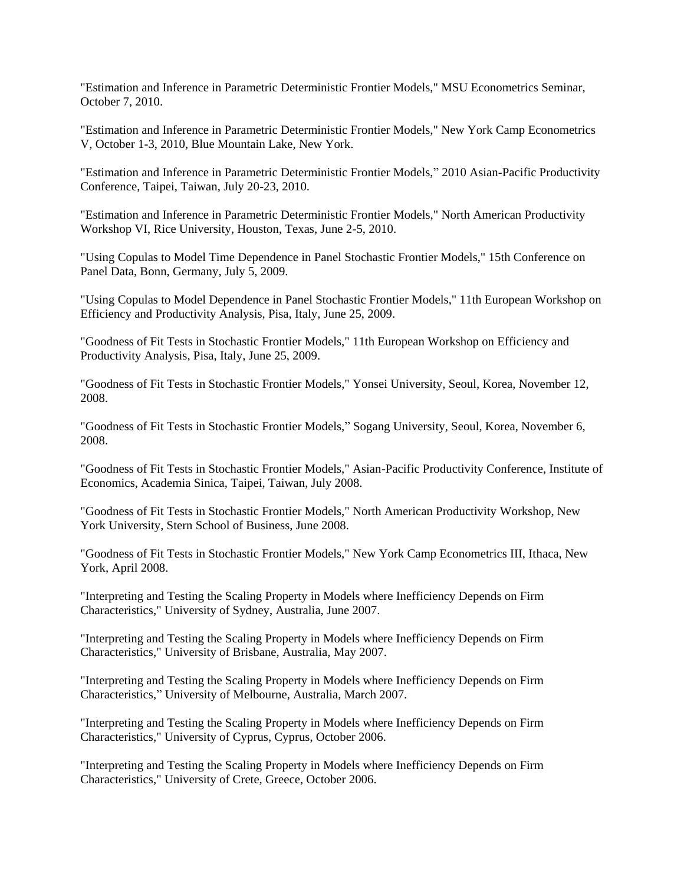"Estimation and Inference in Parametric Deterministic Frontier Models," MSU Econometrics Seminar, October 7, 2010.

"Estimation and Inference in Parametric Deterministic Frontier Models," New York Camp Econometrics V, October 1-3, 2010, Blue Mountain Lake, New York.

"Estimation and Inference in Parametric Deterministic Frontier Models," 2010 Asian-Pacific Productivity Conference, Taipei, Taiwan, July 20-23, 2010.

"Estimation and Inference in Parametric Deterministic Frontier Models," North American Productivity Workshop VI, Rice University, Houston, Texas, June 2-5, 2010.

"Using Copulas to Model Time Dependence in Panel Stochastic Frontier Models," 15th Conference on Panel Data, Bonn, Germany, July 5, 2009.

"Using Copulas to Model Dependence in Panel Stochastic Frontier Models," 11th European Workshop on Efficiency and Productivity Analysis, Pisa, Italy, June 25, 2009.

"Goodness of Fit Tests in Stochastic Frontier Models," 11th European Workshop on Efficiency and Productivity Analysis, Pisa, Italy, June 25, 2009.

"Goodness of Fit Tests in Stochastic Frontier Models," Yonsei University, Seoul, Korea, November 12, 2008.

"Goodness of Fit Tests in Stochastic Frontier Models," Sogang University, Seoul, Korea, November 6, 2008.

"Goodness of Fit Tests in Stochastic Frontier Models," Asian-Pacific Productivity Conference, Institute of Economics, Academia Sinica, Taipei, Taiwan, July 2008.

"Goodness of Fit Tests in Stochastic Frontier Models," North American Productivity Workshop, New York University, Stern School of Business, June 2008.

"Goodness of Fit Tests in Stochastic Frontier Models," New York Camp Econometrics III, Ithaca, New York, April 2008.

"Interpreting and Testing the Scaling Property in Models where Inefficiency Depends on Firm Characteristics," University of Sydney, Australia, June 2007.

"Interpreting and Testing the Scaling Property in Models where Inefficiency Depends on Firm Characteristics," University of Brisbane, Australia, May 2007.

"Interpreting and Testing the Scaling Property in Models where Inefficiency Depends on Firm Characteristics," University of Melbourne, Australia, March 2007.

"Interpreting and Testing the Scaling Property in Models where Inefficiency Depends on Firm Characteristics," University of Cyprus, Cyprus, October 2006.

"Interpreting and Testing the Scaling Property in Models where Inefficiency Depends on Firm Characteristics," University of Crete, Greece, October 2006.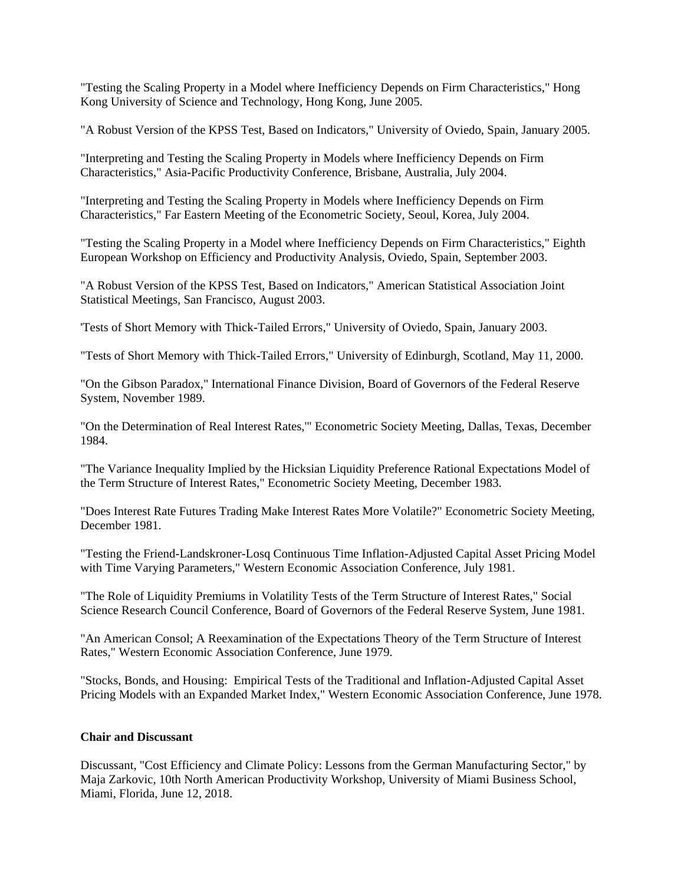"Testing the Scaling Property in a Model where Inefficiency Depends on Firm Characteristics," Hong Kong University of Science and Technology, Hong Kong, June 2005.

"A Robust Version of the KPSS Test, Based on Indicators," University of Oviedo, Spain, January 2005.

"Interpreting and Testing the Scaling Property in Models where Inefficiency Depends on Firm Characteristics," Asia-Pacific Productivity Conference, Brisbane, Australia, July 2004.

"Interpreting and Testing the Scaling Property in Models where Inefficiency Depends on Firm Characteristics," Far Eastern Meeting of the Econometric Society, Seoul, Korea, July 2004.

"Testing the Scaling Property in a Model where Inefficiency Depends on Firm Characteristics," Eighth European Workshop on Efficiency and Productivity Analysis, Oviedo, Spain, September 2003.

"A Robust Version of the KPSS Test, Based on Indicators," American Statistical Association Joint Statistical Meetings, San Francisco, August 2003.

'Tests of Short Memory with Thick-Tailed Errors," University of Oviedo, Spain, January 2003.

"Tests of Short Memory with Thick-Tailed Errors," University of Edinburgh, Scotland, May 11, 2000.

"On the Gibson Paradox," International Finance Division, Board of Governors of the Federal Reserve System, November 1989.

"On the Determination of Real Interest Rates,'" Econometric Society Meeting, Dallas, Texas, December 1984.

"The Variance Inequality Implied by the Hicksian Liquidity Preference Rational Expectations Model of the Term Structure of Interest Rates," Econometric Society Meeting, December 1983.

"Does Interest Rate Futures Trading Make Interest Rates More Volatile?" Econometric Society Meeting, December 1981.

"Testing the Friend-Landskroner-Losq Continuous Time Inflation-Adjusted Capital Asset Pricing Model with Time Varying Parameters," Western Economic Association Conference, July 1981.

"The Role of Liquidity Premiums in Volatility Tests of the Term Structure of Interest Rates," Social Science Research Council Conference, Board of Governors of the Federal Reserve System, June 1981.

"An American Consol; A Reexamination of the Expectations Theory of the Term Structure of Interest Rates," Western Economic Association Conference, June 1979.

"Stocks, Bonds, and Housing: Empirical Tests of the Traditional and Inflation-Adjusted Capital Asset Pricing Models with an Expanded Market Index," Western Economic Association Conference, June 1978.

#### **Chair and Discussant**

Discussant, "Cost Efficiency and Climate Policy: Lessons from the German Manufacturing Sector," by Maja Zarkovic, 10th North American Productivity Workshop, University of Miami Business School, Miami, Florida, June 12, 2018.